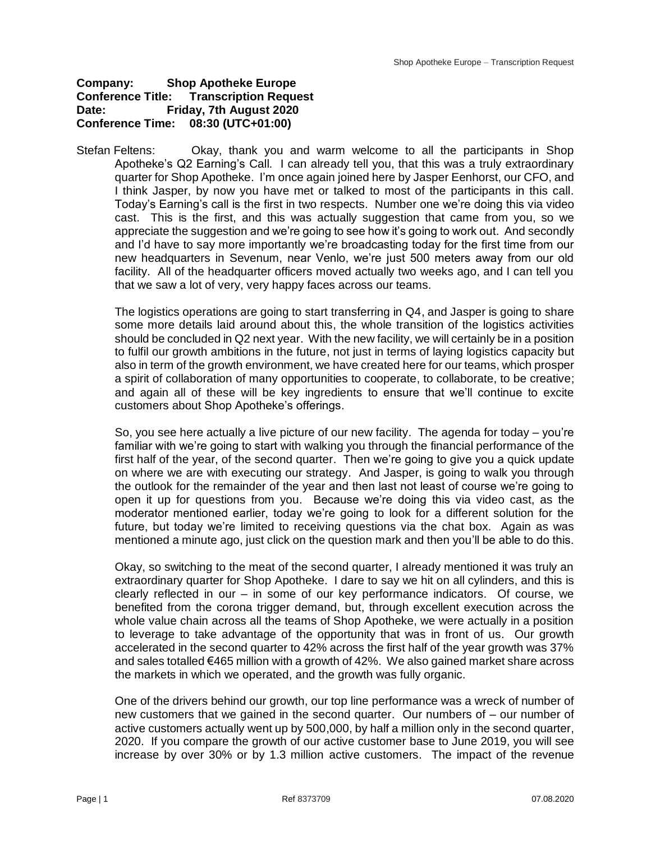## **Company: Shop Apotheke Europe Conference Title: Transcription Request Date: Friday, 7th August 2020 Conference Time: 08:30 (UTC+01:00)**

Stefan Feltens: Okay, thank you and warm welcome to all the participants in Shop Apotheke's Q2 Earning's Call. I can already tell you, that this was a truly extraordinary quarter for Shop Apotheke. I'm once again joined here by Jasper Eenhorst, our CFO, and I think Jasper, by now you have met or talked to most of the participants in this call. Today's Earning's call is the first in two respects. Number one we're doing this via video cast. This is the first, and this was actually suggestion that came from you, so we appreciate the suggestion and we're going to see how it's going to work out. And secondly and I'd have to say more importantly we're broadcasting today for the first time from our new headquarters in Sevenum, near Venlo, we're just 500 meters away from our old facility. All of the headquarter officers moved actually two weeks ago, and I can tell you that we saw a lot of very, very happy faces across our teams.

The logistics operations are going to start transferring in Q4, and Jasper is going to share some more details laid around about this, the whole transition of the logistics activities should be concluded in Q2 next year. With the new facility, we will certainly be in a position to fulfil our growth ambitions in the future, not just in terms of laying logistics capacity but also in term of the growth environment, we have created here for our teams, which prosper a spirit of collaboration of many opportunities to cooperate, to collaborate, to be creative; and again all of these will be key ingredients to ensure that we'll continue to excite customers about Shop Apotheke's offerings.

So, you see here actually a live picture of our new facility. The agenda for today – you're familiar with we're going to start with walking you through the financial performance of the first half of the year, of the second quarter. Then we're going to give you a quick update on where we are with executing our strategy. And Jasper, is going to walk you through the outlook for the remainder of the year and then last not least of course we're going to open it up for questions from you. Because we're doing this via video cast, as the moderator mentioned earlier, today we're going to look for a different solution for the future, but today we're limited to receiving questions via the chat box. Again as was mentioned a minute ago, just click on the question mark and then you'll be able to do this.

Okay, so switching to the meat of the second quarter, I already mentioned it was truly an extraordinary quarter for Shop Apotheke. I dare to say we hit on all cylinders, and this is clearly reflected in our – in some of our key performance indicators. Of course, we benefited from the corona trigger demand, but, through excellent execution across the whole value chain across all the teams of Shop Apotheke, we were actually in a position to leverage to take advantage of the opportunity that was in front of us. Our growth accelerated in the second quarter to 42% across the first half of the year growth was 37% and sales totalled €465 million with a growth of 42%. We also gained market share across the markets in which we operated, and the growth was fully organic.

One of the drivers behind our growth, our top line performance was a wreck of number of new customers that we gained in the second quarter. Our numbers of – our number of active customers actually went up by 500,000, by half a million only in the second quarter, 2020. If you compare the growth of our active customer base to June 2019, you will see increase by over 30% or by 1.3 million active customers. The impact of the revenue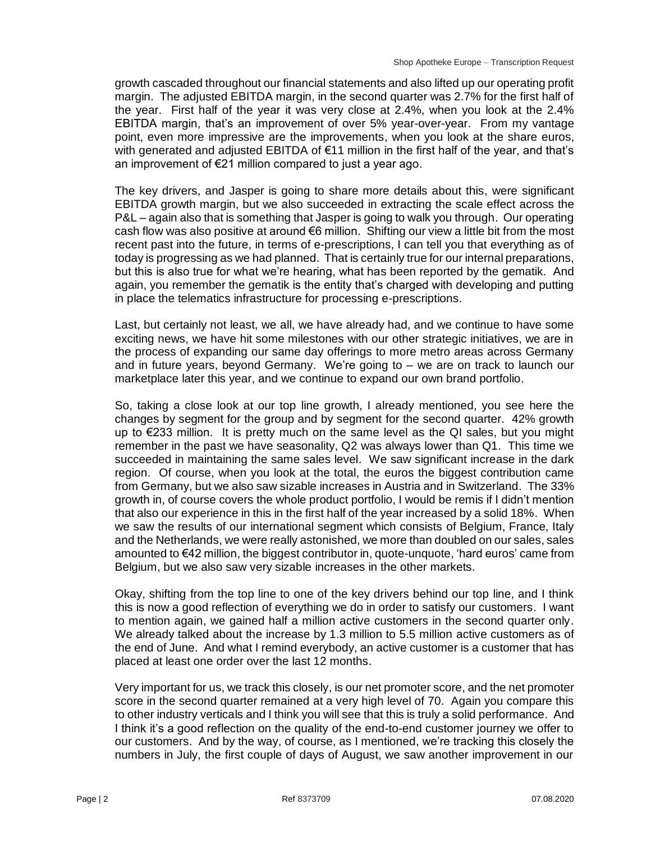growth cascaded throughout our financial statements and also lifted up our operating profit margin. The adjusted EBITDA margin, in the second quarter was 2.7% for the first half of the year. First half of the year it was very close at 2.4%, when you look at the 2.4% EBITDA margin, that's an improvement of over 5% year-over-year. From my vantage point, even more impressive are the improvements, when you look at the share euros, with generated and adjusted EBITDA of €11 million in the first half of the year, and that's an improvement of €21 million compared to just a year ago.

The key drivers, and Jasper is going to share more details about this, were significant EBITDA growth margin, but we also succeeded in extracting the scale effect across the P&L – again also that is something that Jasper is going to walk you through. Our operating cash flow was also positive at around  $\epsilon$ 6 million. Shifting our view a little bit from the most recent past into the future, in terms of e-prescriptions, I can tell you that everything as of today is progressing as we had planned. That is certainly true for our internal preparations, but this is also true for what we're hearing, what has been reported by the gematik. And again, you remember the gematik is the entity that's charged with developing and putting in place the telematics infrastructure for processing e-prescriptions.

Last, but certainly not least, we all, we have already had, and we continue to have some exciting news, we have hit some milestones with our other strategic initiatives, we are in the process of expanding our same day offerings to more metro areas across Germany and in future years, beyond Germany. We're going to – we are on track to launch our marketplace later this year, and we continue to expand our own brand portfolio.

So, taking a close look at our top line growth, I already mentioned, you see here the changes by segment for the group and by segment for the second quarter. 42% growth up to €233 million. It is pretty much on the same level as the QI sales, but you might remember in the past we have seasonality, Q2 was always lower than Q1. This time we succeeded in maintaining the same sales level. We saw significant increase in the dark region. Of course, when you look at the total, the euros the biggest contribution came from Germany, but we also saw sizable increases in Austria and in Switzerland. The 33% growth in, of course covers the whole product portfolio, I would be remis if I didn't mention that also our experience in this in the first half of the year increased by a solid 18%. When we saw the results of our international segment which consists of Belgium, France, Italy and the Netherlands, we were really astonished, we more than doubled on our sales, sales amounted to €42 million, the biggest contributor in, quote-unquote, 'hard euros' came from Belgium, but we also saw very sizable increases in the other markets.

Okay, shifting from the top line to one of the key drivers behind our top line, and I think this is now a good reflection of everything we do in order to satisfy our customers. I want to mention again, we gained half a million active customers in the second quarter only. We already talked about the increase by 1.3 million to 5.5 million active customers as of the end of June. And what I remind everybody, an active customer is a customer that has placed at least one order over the last 12 months.

Very important for us, we track this closely, is our net promoter score, and the net promoter score in the second quarter remained at a very high level of 70. Again you compare this to other industry verticals and I think you will see that this is truly a solid performance. And I think it's a good reflection on the quality of the end-to-end customer journey we offer to our customers. And by the way, of course, as I mentioned, we're tracking this closely the numbers in July, the first couple of days of August, we saw another improvement in our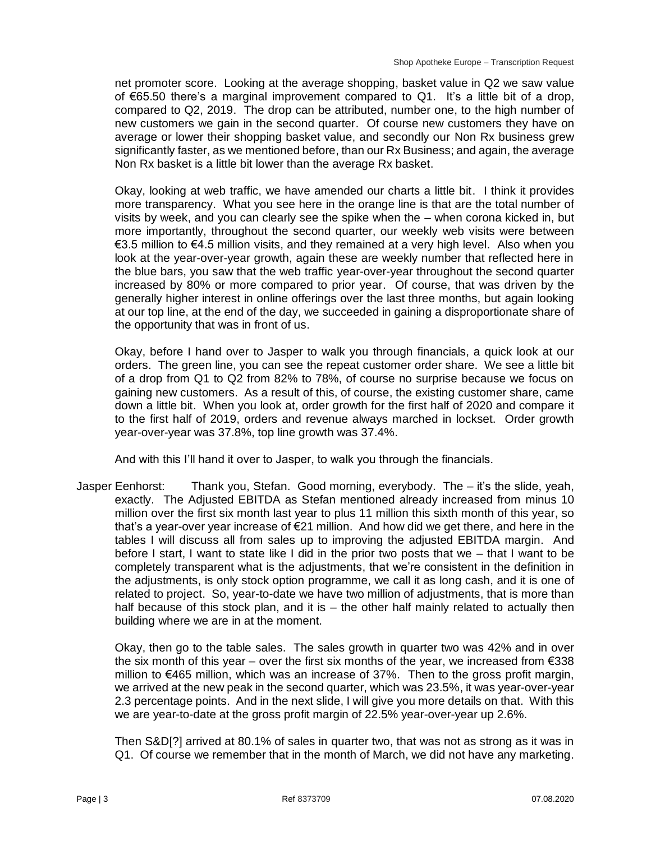net promoter score. Looking at the average shopping, basket value in Q2 we saw value of €65.50 there's a marginal improvement compared to Q1. It's a little bit of a drop, compared to Q2, 2019. The drop can be attributed, number one, to the high number of new customers we gain in the second quarter. Of course new customers they have on average or lower their shopping basket value, and secondly our Non Rx business grew significantly faster, as we mentioned before, than our Rx Business; and again, the average Non Rx basket is a little bit lower than the average Rx basket.

Okay, looking at web traffic, we have amended our charts a little bit. I think it provides more transparency. What you see here in the orange line is that are the total number of visits by week, and you can clearly see the spike when the – when corona kicked in, but more importantly, throughout the second quarter, our weekly web visits were between €3.5 million to €4.5 million visits, and they remained at a very high level. Also when you look at the year-over-year growth, again these are weekly number that reflected here in the blue bars, you saw that the web traffic year-over-year throughout the second quarter increased by 80% or more compared to prior year. Of course, that was driven by the generally higher interest in online offerings over the last three months, but again looking at our top line, at the end of the day, we succeeded in gaining a disproportionate share of the opportunity that was in front of us.

Okay, before I hand over to Jasper to walk you through financials, a quick look at our orders. The green line, you can see the repeat customer order share. We see a little bit of a drop from Q1 to Q2 from 82% to 78%, of course no surprise because we focus on gaining new customers. As a result of this, of course, the existing customer share, came down a little bit. When you look at, order growth for the first half of 2020 and compare it to the first half of 2019, orders and revenue always marched in lockset. Order growth year-over-year was 37.8%, top line growth was 37.4%.

And with this I'll hand it over to Jasper, to walk you through the financials.

Jasper Eenhorst: Thank you, Stefan. Good morning, everybody. The – it's the slide, yeah, exactly. The Adjusted EBITDA as Stefan mentioned already increased from minus 10 million over the first six month last year to plus 11 million this sixth month of this year, so that's a year-over year increase of €21 million. And how did we get there, and here in the tables I will discuss all from sales up to improving the adjusted EBITDA margin. And before I start, I want to state like I did in the prior two posts that we – that I want to be completely transparent what is the adjustments, that we're consistent in the definition in the adjustments, is only stock option programme, we call it as long cash, and it is one of related to project. So, year-to-date we have two million of adjustments, that is more than half because of this stock plan, and it is – the other half mainly related to actually then building where we are in at the moment.

Okay, then go to the table sales. The sales growth in quarter two was 42% and in over the six month of this year – over the first six months of the year, we increased from  $\epsilon$ 338 million to €465 million, which was an increase of 37%. Then to the gross profit margin, we arrived at the new peak in the second quarter, which was 23.5%, it was year-over-year 2.3 percentage points. And in the next slide, I will give you more details on that. With this we are year-to-date at the gross profit margin of 22.5% year-over-year up 2.6%.

Then S&D[?] arrived at 80.1% of sales in quarter two, that was not as strong as it was in Q1. Of course we remember that in the month of March, we did not have any marketing.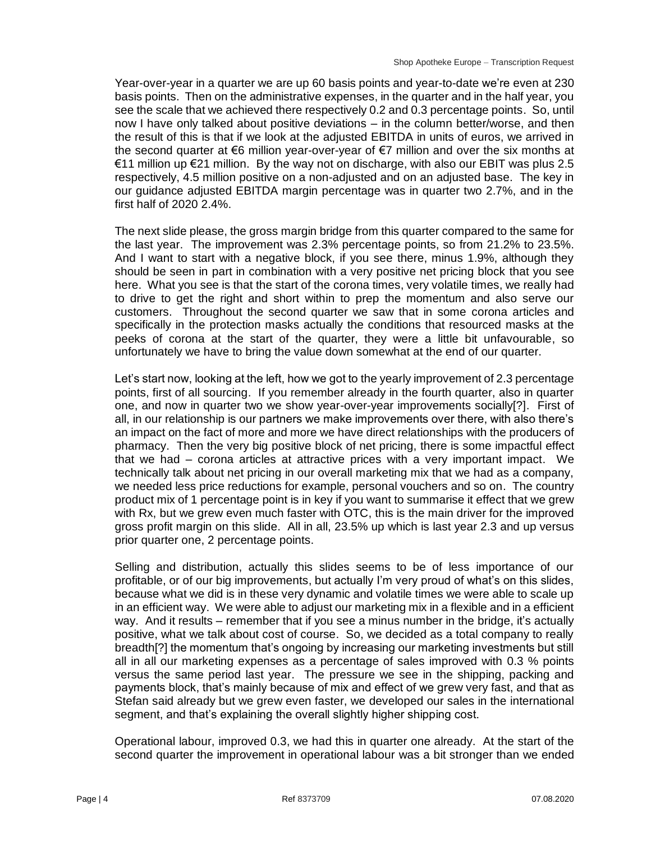Year-over-year in a quarter we are up 60 basis points and year-to-date we're even at 230 basis points. Then on the administrative expenses, in the quarter and in the half year, you see the scale that we achieved there respectively 0.2 and 0.3 percentage points. So, until now I have only talked about positive deviations – in the column better/worse, and then the result of this is that if we look at the adjusted EBITDA in units of euros, we arrived in the second quarter at €6 million year-over-year of €7 million and over the six months at  $€11$  million up  $€21$  million. By the way not on discharge, with also our EBIT was plus 2.5 respectively, 4.5 million positive on a non-adjusted and on an adjusted base. The key in our guidance adjusted EBITDA margin percentage was in quarter two 2.7%, and in the first half of 2020 2.4%.

The next slide please, the gross margin bridge from this quarter compared to the same for the last year. The improvement was 2.3% percentage points, so from 21.2% to 23.5%. And I want to start with a negative block, if you see there, minus 1.9%, although they should be seen in part in combination with a very positive net pricing block that you see here. What you see is that the start of the corona times, very volatile times, we really had to drive to get the right and short within to prep the momentum and also serve our customers. Throughout the second quarter we saw that in some corona articles and specifically in the protection masks actually the conditions that resourced masks at the peeks of corona at the start of the quarter, they were a little bit unfavourable, so unfortunately we have to bring the value down somewhat at the end of our quarter.

Let's start now, looking at the left, how we got to the yearly improvement of 2.3 percentage points, first of all sourcing. If you remember already in the fourth quarter, also in quarter one, and now in quarter two we show year-over-year improvements socially[?]. First of all, in our relationship is our partners we make improvements over there, with also there's an impact on the fact of more and more we have direct relationships with the producers of pharmacy. Then the very big positive block of net pricing, there is some impactful effect that we had – corona articles at attractive prices with a very important impact. We technically talk about net pricing in our overall marketing mix that we had as a company, we needed less price reductions for example, personal vouchers and so on. The country product mix of 1 percentage point is in key if you want to summarise it effect that we grew with Rx, but we grew even much faster with OTC, this is the main driver for the improved gross profit margin on this slide. All in all, 23.5% up which is last year 2.3 and up versus prior quarter one, 2 percentage points.

Selling and distribution, actually this slides seems to be of less importance of our profitable, or of our big improvements, but actually I'm very proud of what's on this slides, because what we did is in these very dynamic and volatile times we were able to scale up in an efficient way. We were able to adjust our marketing mix in a flexible and in a efficient way. And it results – remember that if you see a minus number in the bridge, it's actually positive, what we talk about cost of course. So, we decided as a total company to really breadth[?] the momentum that's ongoing by increasing our marketing investments but still all in all our marketing expenses as a percentage of sales improved with 0.3 % points versus the same period last year. The pressure we see in the shipping, packing and payments block, that's mainly because of mix and effect of we grew very fast, and that as Stefan said already but we grew even faster, we developed our sales in the international segment, and that's explaining the overall slightly higher shipping cost.

Operational labour, improved 0.3, we had this in quarter one already. At the start of the second quarter the improvement in operational labour was a bit stronger than we ended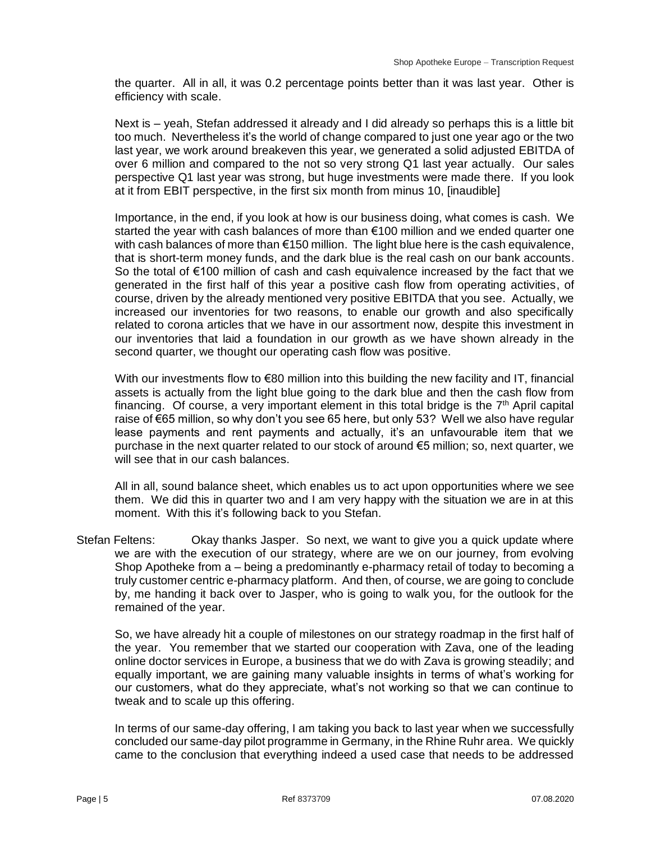the quarter. All in all, it was 0.2 percentage points better than it was last year. Other is efficiency with scale.

Next is – yeah, Stefan addressed it already and I did already so perhaps this is a little bit too much. Nevertheless it's the world of change compared to just one year ago or the two last year, we work around breakeven this year, we generated a solid adjusted EBITDA of over 6 million and compared to the not so very strong Q1 last year actually. Our sales perspective Q1 last year was strong, but huge investments were made there. If you look at it from EBIT perspective, in the first six month from minus 10, [inaudible]

Importance, in the end, if you look at how is our business doing, what comes is cash. We started the year with cash balances of more than €100 million and we ended quarter one with cash balances of more than €150 million. The light blue here is the cash equivalence, that is short-term money funds, and the dark blue is the real cash on our bank accounts. So the total of €100 million of cash and cash equivalence increased by the fact that we generated in the first half of this year a positive cash flow from operating activities, of course, driven by the already mentioned very positive EBITDA that you see. Actually, we increased our inventories for two reasons, to enable our growth and also specifically related to corona articles that we have in our assortment now, despite this investment in our inventories that laid a foundation in our growth as we have shown already in the second quarter, we thought our operating cash flow was positive.

With our investments flow to €80 million into this building the new facility and IT, financial assets is actually from the light blue going to the dark blue and then the cash flow from financing. Of course, a very important element in this total bridge is the  $7<sup>th</sup>$  April capital raise of €65 million, so why don't you see 65 here, but only 53? Well we also have regular lease payments and rent payments and actually, it's an unfavourable item that we purchase in the next quarter related to our stock of around €5 million; so, next quarter, we will see that in our cash balances.

All in all, sound balance sheet, which enables us to act upon opportunities where we see them. We did this in quarter two and I am very happy with the situation we are in at this moment. With this it's following back to you Stefan.

Stefan Feltens: Okay thanks Jasper. So next, we want to give you a quick update where we are with the execution of our strategy, where are we on our journey, from evolving Shop Apotheke from a – being a predominantly e-pharmacy retail of today to becoming a truly customer centric e-pharmacy platform. And then, of course, we are going to conclude by, me handing it back over to Jasper, who is going to walk you, for the outlook for the remained of the year.

So, we have already hit a couple of milestones on our strategy roadmap in the first half of the year. You remember that we started our cooperation with Zava, one of the leading online doctor services in Europe, a business that we do with Zava is growing steadily; and equally important, we are gaining many valuable insights in terms of what's working for our customers, what do they appreciate, what's not working so that we can continue to tweak and to scale up this offering.

In terms of our same-day offering, I am taking you back to last year when we successfully concluded our same-day pilot programme in Germany, in the Rhine Ruhr area. We quickly came to the conclusion that everything indeed a used case that needs to be addressed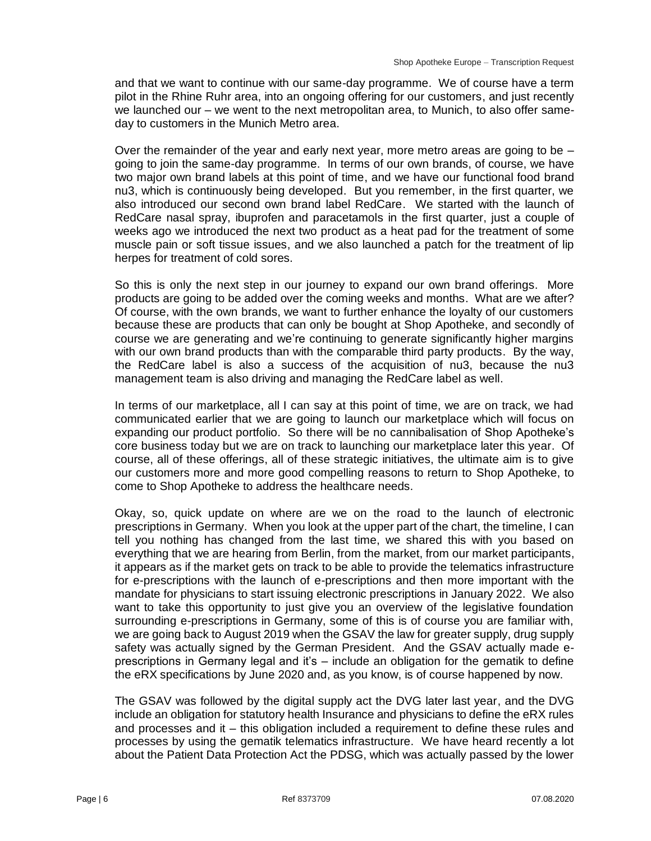and that we want to continue with our same-day programme. We of course have a term pilot in the Rhine Ruhr area, into an ongoing offering for our customers, and just recently we launched our – we went to the next metropolitan area, to Munich, to also offer sameday to customers in the Munich Metro area.

Over the remainder of the year and early next year, more metro areas are going to be  $$ going to join the same-day programme. In terms of our own brands, of course, we have two major own brand labels at this point of time, and we have our functional food brand nu3, which is continuously being developed. But you remember, in the first quarter, we also introduced our second own brand label RedCare. We started with the launch of RedCare nasal spray, ibuprofen and paracetamols in the first quarter, just a couple of weeks ago we introduced the next two product as a heat pad for the treatment of some muscle pain or soft tissue issues, and we also launched a patch for the treatment of lip herpes for treatment of cold sores.

So this is only the next step in our journey to expand our own brand offerings. More products are going to be added over the coming weeks and months. What are we after? Of course, with the own brands, we want to further enhance the loyalty of our customers because these are products that can only be bought at Shop Apotheke, and secondly of course we are generating and we're continuing to generate significantly higher margins with our own brand products than with the comparable third party products. By the way, the RedCare label is also a success of the acquisition of nu3, because the nu3 management team is also driving and managing the RedCare label as well.

In terms of our marketplace, all I can say at this point of time, we are on track, we had communicated earlier that we are going to launch our marketplace which will focus on expanding our product portfolio. So there will be no cannibalisation of Shop Apotheke's core business today but we are on track to launching our marketplace later this year. Of course, all of these offerings, all of these strategic initiatives, the ultimate aim is to give our customers more and more good compelling reasons to return to Shop Apotheke, to come to Shop Apotheke to address the healthcare needs.

Okay, so, quick update on where are we on the road to the launch of electronic prescriptions in Germany. When you look at the upper part of the chart, the timeline, I can tell you nothing has changed from the last time, we shared this with you based on everything that we are hearing from Berlin, from the market, from our market participants, it appears as if the market gets on track to be able to provide the telematics infrastructure for e-prescriptions with the launch of e-prescriptions and then more important with the mandate for physicians to start issuing electronic prescriptions in January 2022. We also want to take this opportunity to just give you an overview of the legislative foundation surrounding e-prescriptions in Germany, some of this is of course you are familiar with, we are going back to August 2019 when the GSAV the law for greater supply, drug supply safety was actually signed by the German President. And the GSAV actually made eprescriptions in Germany legal and it's – include an obligation for the gematik to define the eRX specifications by June 2020 and, as you know, is of course happened by now.

The GSAV was followed by the digital supply act the DVG later last year, and the DVG include an obligation for statutory health Insurance and physicians to define the eRX rules and processes and it – this obligation included a requirement to define these rules and processes by using the gematik telematics infrastructure. We have heard recently a lot about the Patient Data Protection Act the PDSG, which was actually passed by the lower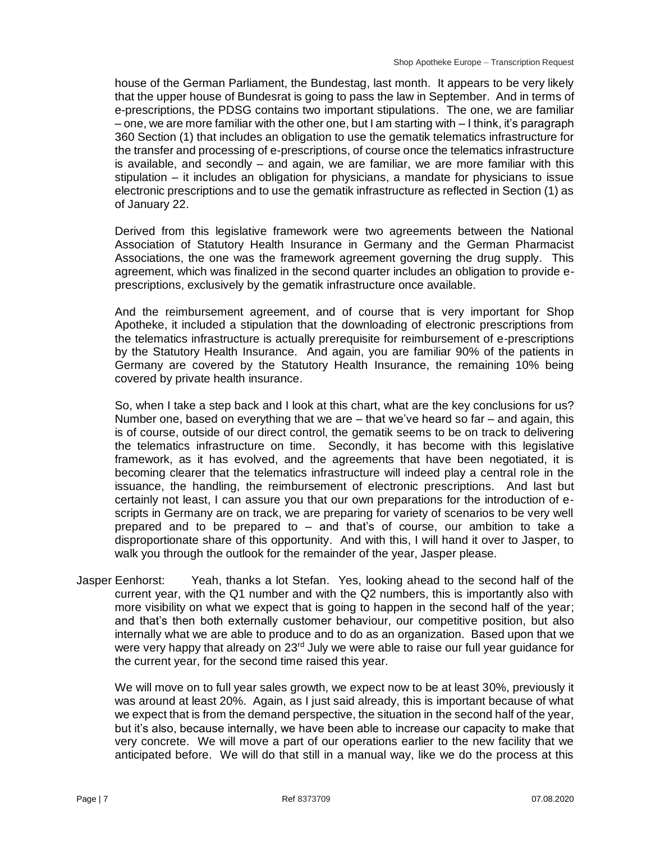house of the German Parliament, the Bundestag, last month. It appears to be very likely that the upper house of Bundesrat is going to pass the law in September. And in terms of e-prescriptions, the PDSG contains two important stipulations. The one, we are familiar – one, we are more familiar with the other one, but I am starting with – I think, it's paragraph 360 Section (1) that includes an obligation to use the gematik telematics infrastructure for the transfer and processing of e-prescriptions, of course once the telematics infrastructure is available, and secondly – and again, we are familiar, we are more familiar with this stipulation – it includes an obligation for physicians, a mandate for physicians to issue electronic prescriptions and to use the gematik infrastructure as reflected in Section (1) as of January 22.

Derived from this legislative framework were two agreements between the National Association of Statutory Health Insurance in Germany and the German Pharmacist Associations, the one was the framework agreement governing the drug supply. This agreement, which was finalized in the second quarter includes an obligation to provide eprescriptions, exclusively by the gematik infrastructure once available.

And the reimbursement agreement, and of course that is very important for Shop Apotheke, it included a stipulation that the downloading of electronic prescriptions from the telematics infrastructure is actually prerequisite for reimbursement of e-prescriptions by the Statutory Health Insurance. And again, you are familiar 90% of the patients in Germany are covered by the Statutory Health Insurance, the remaining 10% being covered by private health insurance.

So, when I take a step back and I look at this chart, what are the key conclusions for us? Number one, based on everything that we are – that we've heard so far – and again, this is of course, outside of our direct control, the gematik seems to be on track to delivering the telematics infrastructure on time. Secondly, it has become with this legislative framework, as it has evolved, and the agreements that have been negotiated, it is becoming clearer that the telematics infrastructure will indeed play a central role in the issuance, the handling, the reimbursement of electronic prescriptions. And last but certainly not least, I can assure you that our own preparations for the introduction of escripts in Germany are on track, we are preparing for variety of scenarios to be very well prepared and to be prepared to – and that's of course, our ambition to take a disproportionate share of this opportunity. And with this, I will hand it over to Jasper, to walk you through the outlook for the remainder of the year, Jasper please.

Jasper Eenhorst: Yeah, thanks a lot Stefan. Yes, looking ahead to the second half of the current year, with the Q1 number and with the Q2 numbers, this is importantly also with more visibility on what we expect that is going to happen in the second half of the year; and that's then both externally customer behaviour, our competitive position, but also internally what we are able to produce and to do as an organization. Based upon that we were very happy that already on  $23<sup>rd</sup>$  July we were able to raise our full year guidance for the current year, for the second time raised this year.

We will move on to full year sales growth, we expect now to be at least 30%, previously it was around at least 20%. Again, as I just said already, this is important because of what we expect that is from the demand perspective, the situation in the second half of the year, but it's also, because internally, we have been able to increase our capacity to make that very concrete. We will move a part of our operations earlier to the new facility that we anticipated before. We will do that still in a manual way, like we do the process at this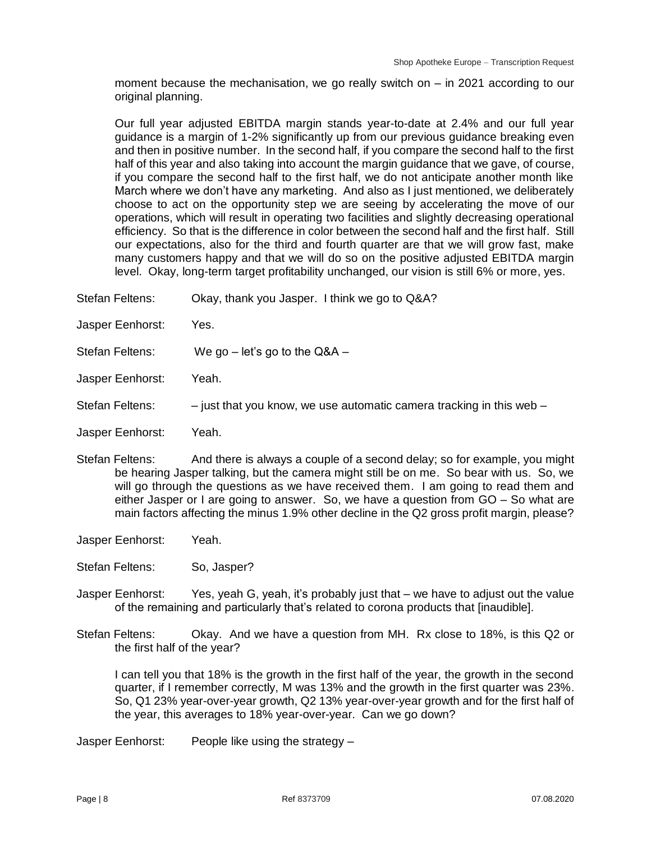moment because the mechanisation, we go really switch on – in 2021 according to our original planning.

Our full year adjusted EBITDA margin stands year-to-date at 2.4% and our full year guidance is a margin of 1-2% significantly up from our previous guidance breaking even and then in positive number. In the second half, if you compare the second half to the first half of this year and also taking into account the margin guidance that we gave, of course, if you compare the second half to the first half, we do not anticipate another month like March where we don't have any marketing. And also as I just mentioned, we deliberately choose to act on the opportunity step we are seeing by accelerating the move of our operations, which will result in operating two facilities and slightly decreasing operational efficiency. So that is the difference in color between the second half and the first half. Still our expectations, also for the third and fourth quarter are that we will grow fast, make many customers happy and that we will do so on the positive adjusted EBITDA margin level. Okay, long-term target profitability unchanged, our vision is still 6% or more, yes.

- Stefan Feltens: Okay, thank you Jasper. I think we go to Q&A?
- Jasper Eenhorst: Yes.
- Stefan Feltens: We go let's go to the Q&A –
- Jasper Eenhorst: Yeah.
- Stefan Feltens:  $\qquad -$  just that you know, we use automatic camera tracking in this web  $-$
- Jasper Eenhorst: Yeah.
- Stefan Feltens: And there is always a couple of a second delay; so for example, you might be hearing Jasper talking, but the camera might still be on me. So bear with us. So, we will go through the questions as we have received them. I am going to read them and either Jasper or I are going to answer. So, we have a question from GO – So what are main factors affecting the minus 1.9% other decline in the Q2 gross profit margin, please?
- Jasper Eenhorst: Yeah.
- Stefan Feltens: So, Jasper?
- Jasper Eenhorst: Yes, yeah G, yeah, it's probably just that we have to adjust out the value of the remaining and particularly that's related to corona products that [inaudible].
- Stefan Feltens: Okay. And we have a question from MH. Rx close to 18%, is this Q2 or the first half of the year?

I can tell you that 18% is the growth in the first half of the year, the growth in the second quarter, if I remember correctly, M was 13% and the growth in the first quarter was 23%. So, Q1 23% year-over-year growth, Q2 13% year-over-year growth and for the first half of the year, this averages to 18% year-over-year. Can we go down?

Jasper Eenhorst: People like using the strategy –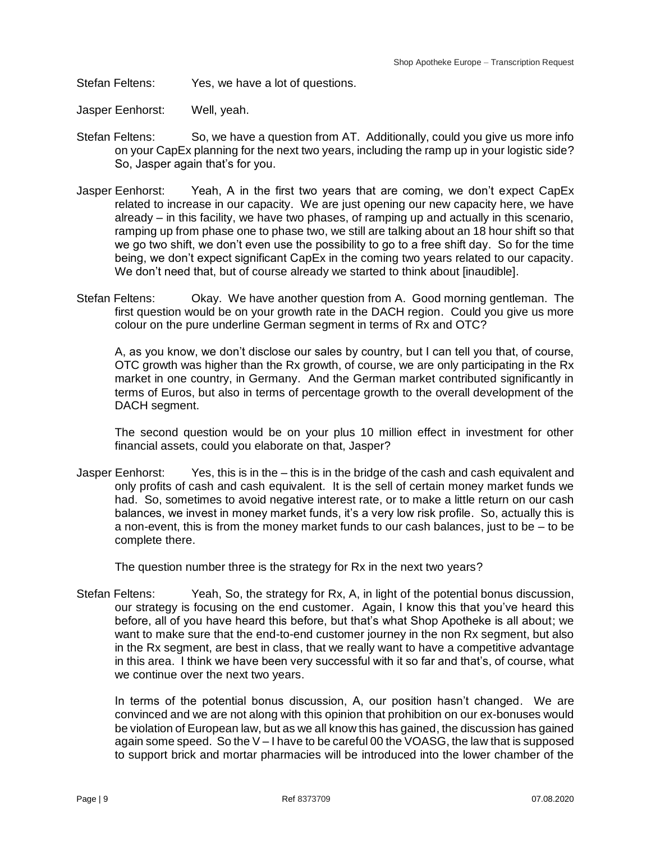Stefan Feltens: Yes, we have a lot of questions.

- Jasper Eenhorst: Well, yeah.
- Stefan Feltens: So, we have a question from AT. Additionally, could you give us more info on your CapEx planning for the next two years, including the ramp up in your logistic side? So, Jasper again that's for you.
- Jasper Eenhorst: Yeah, A in the first two years that are coming, we don't expect CapEx related to increase in our capacity. We are just opening our new capacity here, we have already – in this facility, we have two phases, of ramping up and actually in this scenario, ramping up from phase one to phase two, we still are talking about an 18 hour shift so that we go two shift, we don't even use the possibility to go to a free shift day. So for the time being, we don't expect significant CapEx in the coming two years related to our capacity. We don't need that, but of course already we started to think about [inaudible].
- Stefan Feltens: Okay. We have another question from A. Good morning gentleman. The first question would be on your growth rate in the DACH region. Could you give us more colour on the pure underline German segment in terms of Rx and OTC?

A, as you know, we don't disclose our sales by country, but I can tell you that, of course, OTC growth was higher than the Rx growth, of course, we are only participating in the Rx market in one country, in Germany. And the German market contributed significantly in terms of Euros, but also in terms of percentage growth to the overall development of the DACH segment.

The second question would be on your plus 10 million effect in investment for other financial assets, could you elaborate on that, Jasper?

Jasper Eenhorst: Yes, this is in the – this is in the bridge of the cash and cash equivalent and only profits of cash and cash equivalent. It is the sell of certain money market funds we had. So, sometimes to avoid negative interest rate, or to make a little return on our cash balances, we invest in money market funds, it's a very low risk profile. So, actually this is a non-event, this is from the money market funds to our cash balances, just to be – to be complete there.

The question number three is the strategy for Rx in the next two years?

Stefan Feltens: Yeah, So, the strategy for Rx, A, in light of the potential bonus discussion, our strategy is focusing on the end customer. Again, I know this that you've heard this before, all of you have heard this before, but that's what Shop Apotheke is all about; we want to make sure that the end-to-end customer journey in the non Rx segment, but also in the Rx segment, are best in class, that we really want to have a competitive advantage in this area. I think we have been very successful with it so far and that's, of course, what we continue over the next two years.

In terms of the potential bonus discussion, A, our position hasn't changed. We are convinced and we are not along with this opinion that prohibition on our ex-bonuses would be violation of European law, but as we all know this has gained, the discussion has gained again some speed. So the V – I have to be careful 00 the VOASG, the law that is supposed to support brick and mortar pharmacies will be introduced into the lower chamber of the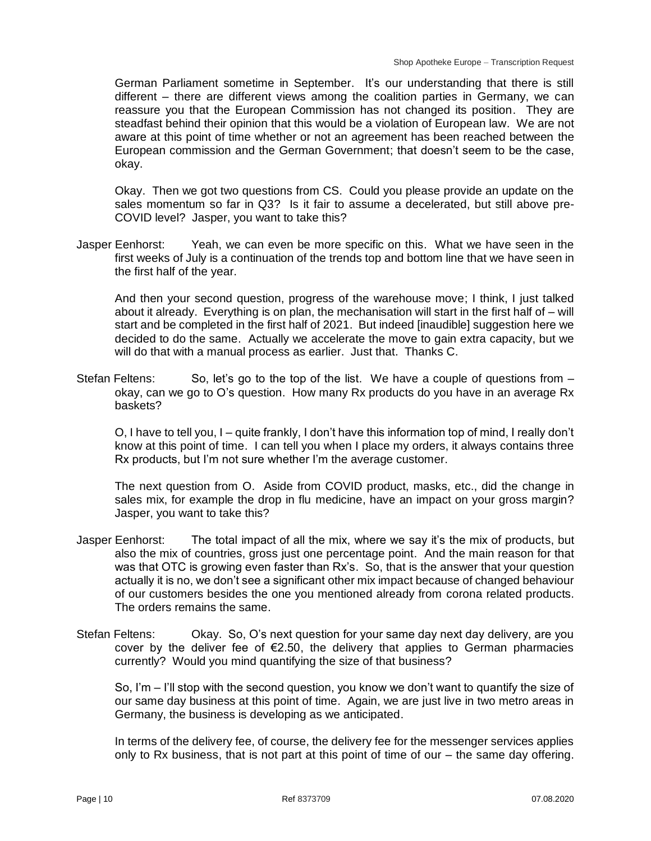German Parliament sometime in September. It's our understanding that there is still different – there are different views among the coalition parties in Germany, we can reassure you that the European Commission has not changed its position. They are steadfast behind their opinion that this would be a violation of European law. We are not aware at this point of time whether or not an agreement has been reached between the European commission and the German Government; that doesn't seem to be the case, okay.

Okay. Then we got two questions from CS. Could you please provide an update on the sales momentum so far in Q3? Is it fair to assume a decelerated, but still above pre-COVID level? Jasper, you want to take this?

Jasper Eenhorst: Yeah, we can even be more specific on this. What we have seen in the first weeks of July is a continuation of the trends top and bottom line that we have seen in the first half of the year.

And then your second question, progress of the warehouse move; I think, I just talked about it already. Everything is on plan, the mechanisation will start in the first half of – will start and be completed in the first half of 2021. But indeed [inaudible] suggestion here we decided to do the same. Actually we accelerate the move to gain extra capacity, but we will do that with a manual process as earlier. Just that. Thanks C.

Stefan Feltens: So, let's go to the top of the list. We have a couple of questions from okay, can we go to O's question. How many Rx products do you have in an average Rx baskets?

O, I have to tell you, I – quite frankly, I don't have this information top of mind, I really don't know at this point of time. I can tell you when I place my orders, it always contains three Rx products, but I'm not sure whether I'm the average customer.

The next question from O. Aside from COVID product, masks, etc., did the change in sales mix, for example the drop in flu medicine, have an impact on your gross margin? Jasper, you want to take this?

- Jasper Eenhorst: The total impact of all the mix, where we say it's the mix of products, but also the mix of countries, gross just one percentage point. And the main reason for that was that OTC is growing even faster than Rx's. So, that is the answer that your question actually it is no, we don't see a significant other mix impact because of changed behaviour of our customers besides the one you mentioned already from corona related products. The orders remains the same.
- Stefan Feltens: Okay. So, O's next question for your same day next day delivery, are you cover by the deliver fee of  $E$ 2.50, the delivery that applies to German pharmacies currently? Would you mind quantifying the size of that business?

So, I'm – I'll stop with the second question, you know we don't want to quantify the size of our same day business at this point of time. Again, we are just live in two metro areas in Germany, the business is developing as we anticipated.

In terms of the delivery fee, of course, the delivery fee for the messenger services applies only to Rx business, that is not part at this point of time of our – the same day offering.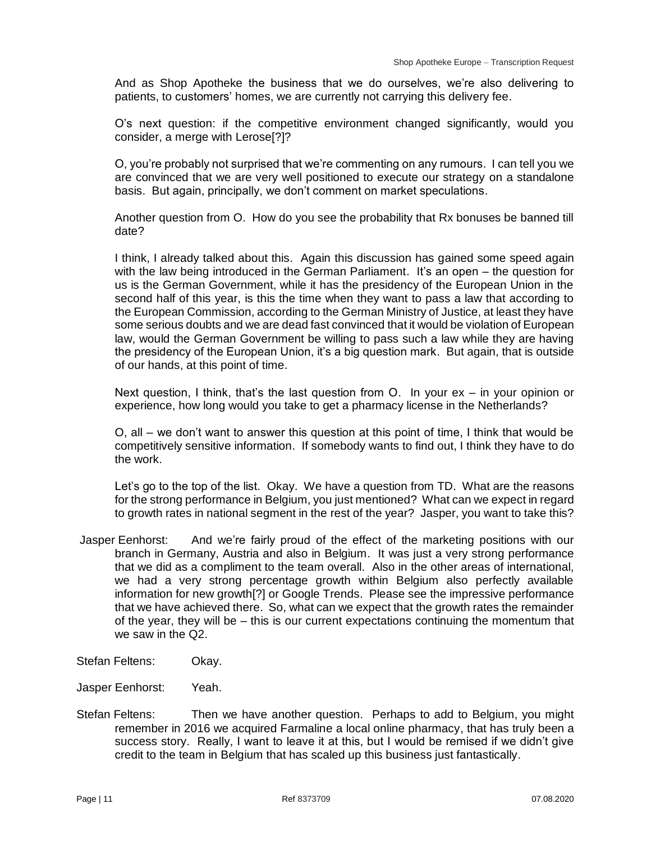And as Shop Apotheke the business that we do ourselves, we're also delivering to patients, to customers' homes, we are currently not carrying this delivery fee.

O's next question: if the competitive environment changed significantly, would you consider, a merge with Lerose[?]?

O, you're probably not surprised that we're commenting on any rumours. I can tell you we are convinced that we are very well positioned to execute our strategy on a standalone basis. But again, principally, we don't comment on market speculations.

Another question from O. How do you see the probability that Rx bonuses be banned till date?

I think, I already talked about this. Again this discussion has gained some speed again with the law being introduced in the German Parliament. It's an open – the question for us is the German Government, while it has the presidency of the European Union in the second half of this year, is this the time when they want to pass a law that according to the European Commission, according to the German Ministry of Justice, at least they have some serious doubts and we are dead fast convinced that it would be violation of European law, would the German Government be willing to pass such a law while they are having the presidency of the European Union, it's a big question mark. But again, that is outside of our hands, at this point of time.

Next question, I think, that's the last question from O. In your ex – in your opinion or experience, how long would you take to get a pharmacy license in the Netherlands?

O, all – we don't want to answer this question at this point of time, I think that would be competitively sensitive information. If somebody wants to find out, I think they have to do the work.

Let's go to the top of the list. Okay. We have a question from TD. What are the reasons for the strong performance in Belgium, you just mentioned? What can we expect in regard to growth rates in national segment in the rest of the year? Jasper, you want to take this?

- Jasper Eenhorst: And we're fairly proud of the effect of the marketing positions with our branch in Germany, Austria and also in Belgium. It was just a very strong performance that we did as a compliment to the team overall. Also in the other areas of international, we had a very strong percentage growth within Belgium also perfectly available information for new growth[?] or Google Trends. Please see the impressive performance that we have achieved there. So, what can we expect that the growth rates the remainder of the year, they will be – this is our current expectations continuing the momentum that we saw in the Q2.
- Stefan Feltens: Okay.
- Jasper Eenhorst: Yeah.
- Stefan Feltens: Then we have another question. Perhaps to add to Belgium, you might remember in 2016 we acquired Farmaline a local online pharmacy, that has truly been a success story. Really, I want to leave it at this, but I would be remised if we didn't give credit to the team in Belgium that has scaled up this business just fantastically.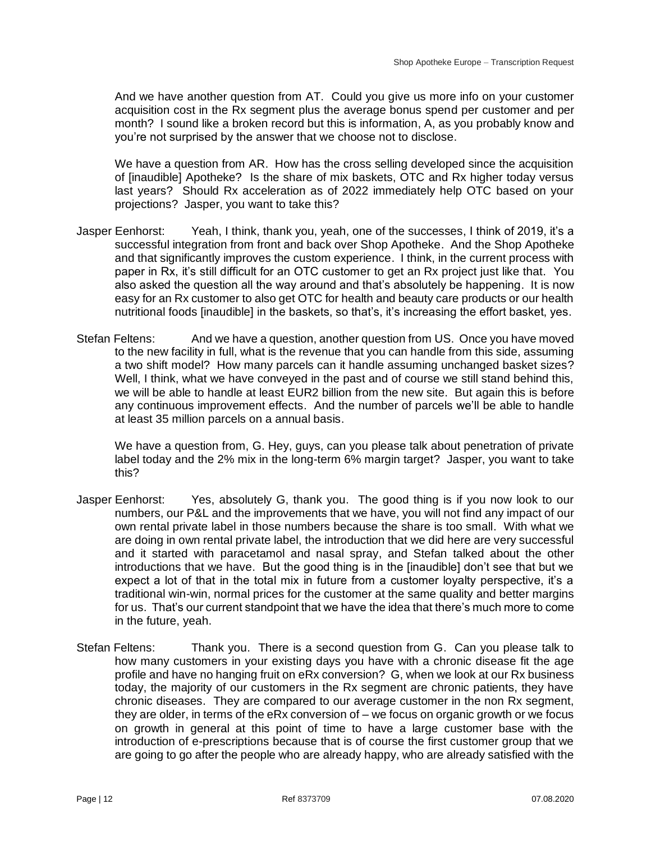And we have another question from AT. Could you give us more info on your customer acquisition cost in the Rx segment plus the average bonus spend per customer and per month? I sound like a broken record but this is information, A, as you probably know and you're not surprised by the answer that we choose not to disclose.

We have a question from AR. How has the cross selling developed since the acquisition of [inaudible] Apotheke? Is the share of mix baskets, OTC and Rx higher today versus last years? Should Rx acceleration as of 2022 immediately help OTC based on your projections? Jasper, you want to take this?

- Jasper Eenhorst: Yeah, I think, thank you, yeah, one of the successes, I think of 2019, it's a successful integration from front and back over Shop Apotheke. And the Shop Apotheke and that significantly improves the custom experience. I think, in the current process with paper in Rx, it's still difficult for an OTC customer to get an Rx project just like that. You also asked the question all the way around and that's absolutely be happening. It is now easy for an Rx customer to also get OTC for health and beauty care products or our health nutritional foods [inaudible] in the baskets, so that's, it's increasing the effort basket, yes.
- Stefan Feltens: And we have a question, another question from US. Once you have moved to the new facility in full, what is the revenue that you can handle from this side, assuming a two shift model? How many parcels can it handle assuming unchanged basket sizes? Well, I think, what we have conveyed in the past and of course we still stand behind this, we will be able to handle at least EUR2 billion from the new site. But again this is before any continuous improvement effects. And the number of parcels we'll be able to handle at least 35 million parcels on a annual basis.

We have a question from, G. Hey, guys, can you please talk about penetration of private label today and the 2% mix in the long-term 6% margin target? Jasper, you want to take this?

- Jasper Eenhorst: Yes, absolutely G, thank you. The good thing is if you now look to our numbers, our P&L and the improvements that we have, you will not find any impact of our own rental private label in those numbers because the share is too small. With what we are doing in own rental private label, the introduction that we did here are very successful and it started with paracetamol and nasal spray, and Stefan talked about the other introductions that we have. But the good thing is in the [inaudible] don't see that but we expect a lot of that in the total mix in future from a customer loyalty perspective, it's a traditional win-win, normal prices for the customer at the same quality and better margins for us. That's our current standpoint that we have the idea that there's much more to come in the future, yeah.
- Stefan Feltens: Thank you. There is a second question from G. Can you please talk to how many customers in your existing days you have with a chronic disease fit the age profile and have no hanging fruit on eRx conversion? G, when we look at our Rx business today, the majority of our customers in the Rx segment are chronic patients, they have chronic diseases. They are compared to our average customer in the non Rx segment, they are older, in terms of the eRx conversion of – we focus on organic growth or we focus on growth in general at this point of time to have a large customer base with the introduction of e-prescriptions because that is of course the first customer group that we are going to go after the people who are already happy, who are already satisfied with the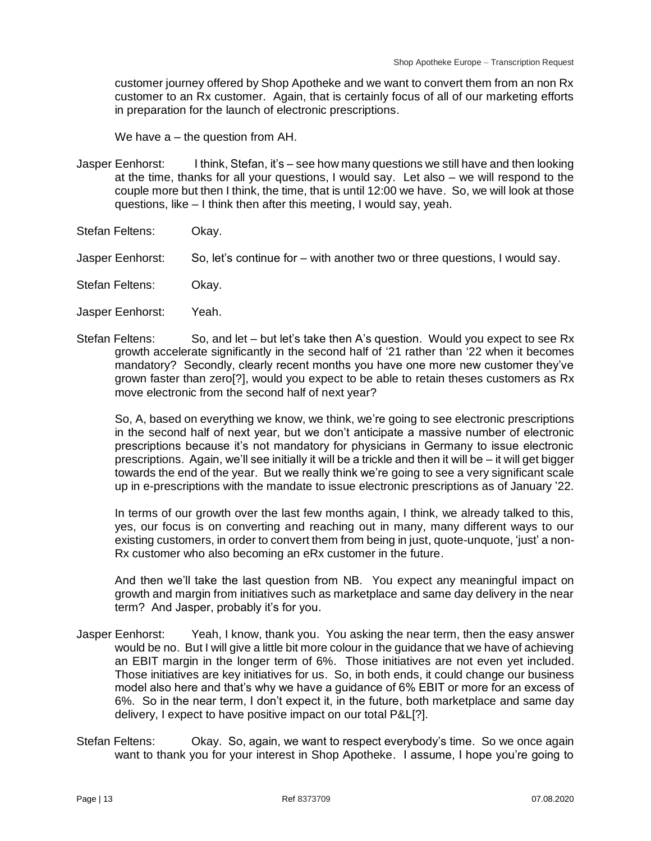customer journey offered by Shop Apotheke and we want to convert them from an non Rx customer to an Rx customer. Again, that is certainly focus of all of our marketing efforts in preparation for the launch of electronic prescriptions.

We have a – the question from AH.

- Jasper Eenhorst: I think, Stefan, it's see how many questions we still have and then looking at the time, thanks for all your questions, I would say. Let also – we will respond to the couple more but then I think, the time, that is until 12:00 we have. So, we will look at those questions, like – I think then after this meeting, I would say, yeah.
- Stefan Feltens: Okay.
- Jasper Eenhorst: So, let's continue for with another two or three questions, I would say.
- Stefan Feltens: Okay.
- Jasper Eenhorst: Yeah.
- Stefan Feltens: So, and let but let's take then A's question. Would you expect to see Rx growth accelerate significantly in the second half of '21 rather than '22 when it becomes mandatory? Secondly, clearly recent months you have one more new customer they've grown faster than zero[?], would you expect to be able to retain theses customers as Rx move electronic from the second half of next year?

So, A, based on everything we know, we think, we're going to see electronic prescriptions in the second half of next year, but we don't anticipate a massive number of electronic prescriptions because it's not mandatory for physicians in Germany to issue electronic prescriptions. Again, we'll see initially it will be a trickle and then it will be – it will get bigger towards the end of the year. But we really think we're going to see a very significant scale up in e-prescriptions with the mandate to issue electronic prescriptions as of January '22.

In terms of our growth over the last few months again, I think, we already talked to this, yes, our focus is on converting and reaching out in many, many different ways to our existing customers, in order to convert them from being in just, quote-unquote, 'just' a non-Rx customer who also becoming an eRx customer in the future.

And then we'll take the last question from NB. You expect any meaningful impact on growth and margin from initiatives such as marketplace and same day delivery in the near term? And Jasper, probably it's for you.

- Jasper Eenhorst: Yeah, I know, thank you. You asking the near term, then the easy answer would be no. But I will give a little bit more colour in the guidance that we have of achieving an EBIT margin in the longer term of 6%. Those initiatives are not even yet included. Those initiatives are key initiatives for us. So, in both ends, it could change our business model also here and that's why we have a guidance of 6% EBIT or more for an excess of 6%. So in the near term, I don't expect it, in the future, both marketplace and same day delivery, I expect to have positive impact on our total P&L[?].
- Stefan Feltens: Okay. So, again, we want to respect everybody's time. So we once again want to thank you for your interest in Shop Apotheke. I assume, I hope you're going to